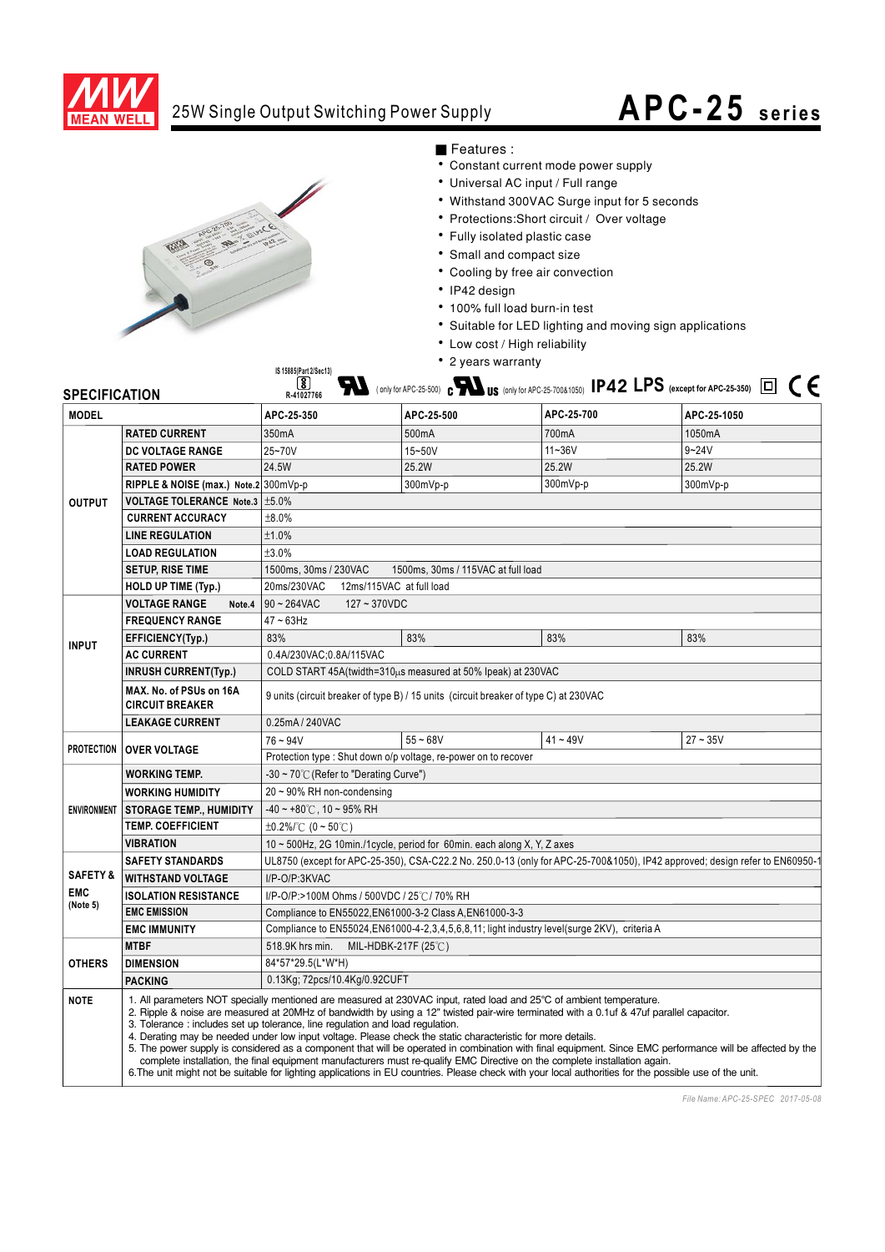

## 25W Single Output Switching Power Supply

## **APC-25 series**



■ Features :

- Constant current mode power supply
- Universal AC input / Full range
- Withstand 300VAC Surge input for 5 seconds
- Protections: Short circuit / Over voltage
- Fully isolated plastic case
- Small and compact size
- Cooling by free air convection
- IP42 design
- · 100% full load burn-in test
- Suitable for LED lighting and moving sign applications
- Low cost / High reliability
- 2 years warranty

| <b>SPECIFICATION</b> |                                                      | • 2 years warranty<br>IS 15885(Part 2/Sec13)<br>$\blacksquare$ (only for APC-25-500) $_{\rm c}$ M $_{\rm US}$ (only for APC-25-700&1050) IP42 LPS (except for APC-25-350) $\Box\ \subset\ \in$<br>$\left[\mathbf{\$}\right]$<br>R-41027766                                                                                                                                                                                                                                                                                                                                                                                                                                                                                                                                                                                                                                                                            |                    |            |             |  |
|----------------------|------------------------------------------------------|-----------------------------------------------------------------------------------------------------------------------------------------------------------------------------------------------------------------------------------------------------------------------------------------------------------------------------------------------------------------------------------------------------------------------------------------------------------------------------------------------------------------------------------------------------------------------------------------------------------------------------------------------------------------------------------------------------------------------------------------------------------------------------------------------------------------------------------------------------------------------------------------------------------------------|--------------------|------------|-------------|--|
| <b>MODEL</b>         |                                                      | APC-25-350                                                                                                                                                                                                                                                                                                                                                                                                                                                                                                                                                                                                                                                                                                                                                                                                                                                                                                            | APC-25-500         | APC-25-700 | APC-25-1050 |  |
| <b>OUTPUT</b>        | <b>RATED CURRENT</b>                                 | 350mA                                                                                                                                                                                                                                                                                                                                                                                                                                                                                                                                                                                                                                                                                                                                                                                                                                                                                                                 | 500 <sub>m</sub> A | 700mA      | 1050mA      |  |
|                      | <b>DC VOLTAGE RANGE</b>                              | 25~70V                                                                                                                                                                                                                                                                                                                                                                                                                                                                                                                                                                                                                                                                                                                                                                                                                                                                                                                | 15~50V             | $11 - 36V$ | $9 - 24V$   |  |
|                      | <b>RATED POWER</b>                                   | 24.5W                                                                                                                                                                                                                                                                                                                                                                                                                                                                                                                                                                                                                                                                                                                                                                                                                                                                                                                 | 25.2W              | 25.2W      | 25.2W       |  |
|                      | RIPPLE & NOISE (max.) Note.2 300mVp-p                |                                                                                                                                                                                                                                                                                                                                                                                                                                                                                                                                                                                                                                                                                                                                                                                                                                                                                                                       | 300mVp-p           | 300mVp-p   | 300mVp-p    |  |
|                      | <b>VOLTAGE TOLERANCE Note.3 <math>\pm</math>5.0%</b> |                                                                                                                                                                                                                                                                                                                                                                                                                                                                                                                                                                                                                                                                                                                                                                                                                                                                                                                       |                    |            |             |  |
|                      | <b>CURRENT ACCURACY</b>                              | ±8.0%                                                                                                                                                                                                                                                                                                                                                                                                                                                                                                                                                                                                                                                                                                                                                                                                                                                                                                                 |                    |            |             |  |
|                      | <b>LINE REGULATION</b>                               | ±1.0%                                                                                                                                                                                                                                                                                                                                                                                                                                                                                                                                                                                                                                                                                                                                                                                                                                                                                                                 |                    |            |             |  |
|                      | <b>LOAD REGULATION</b>                               | ±3.0%                                                                                                                                                                                                                                                                                                                                                                                                                                                                                                                                                                                                                                                                                                                                                                                                                                                                                                                 |                    |            |             |  |
|                      | <b>SETUP, RISE TIME</b>                              | 1500ms, 30ms / 230VAC<br>1500ms, 30ms / 115VAC at full load                                                                                                                                                                                                                                                                                                                                                                                                                                                                                                                                                                                                                                                                                                                                                                                                                                                           |                    |            |             |  |
|                      | <b>HOLD UP TIME (Typ.)</b>                           | 12ms/115VAC at full load<br>20ms/230VAC                                                                                                                                                                                                                                                                                                                                                                                                                                                                                                                                                                                                                                                                                                                                                                                                                                                                               |                    |            |             |  |
|                      | <b>VOLTAGE RANGE</b><br>Note.4                       | $90 - 264$ VAC<br>127~370VDC                                                                                                                                                                                                                                                                                                                                                                                                                                                                                                                                                                                                                                                                                                                                                                                                                                                                                          |                    |            |             |  |
| <b>INPUT</b>         | <b>FREQUENCY RANGE</b>                               | $47 - 63$ Hz                                                                                                                                                                                                                                                                                                                                                                                                                                                                                                                                                                                                                                                                                                                                                                                                                                                                                                          |                    |            |             |  |
|                      | EFFICIENCY(Typ.)                                     | 83%                                                                                                                                                                                                                                                                                                                                                                                                                                                                                                                                                                                                                                                                                                                                                                                                                                                                                                                   | 83%                | 83%        | 83%         |  |
|                      | <b>AC CURRENT</b>                                    | 0.4A/230VAC; 0.8A/115VAC                                                                                                                                                                                                                                                                                                                                                                                                                                                                                                                                                                                                                                                                                                                                                                                                                                                                                              |                    |            |             |  |
|                      | <b>INRUSH CURRENT(Typ.)</b>                          | COLD START 45A(twidth=310µs measured at 50% Ipeak) at 230VAC                                                                                                                                                                                                                                                                                                                                                                                                                                                                                                                                                                                                                                                                                                                                                                                                                                                          |                    |            |             |  |
|                      | MAX. No. of PSUs on 16A<br><b>CIRCUIT BREAKER</b>    | 9 units (circuit breaker of type B) / 15 units (circuit breaker of type C) at 230VAC                                                                                                                                                                                                                                                                                                                                                                                                                                                                                                                                                                                                                                                                                                                                                                                                                                  |                    |            |             |  |
|                      | 0.25mA / 240VAC<br><b>LEAKAGE CURRENT</b>            |                                                                                                                                                                                                                                                                                                                                                                                                                                                                                                                                                                                                                                                                                                                                                                                                                                                                                                                       |                    |            |             |  |
| <b>PROTECTION</b>    | <b>OVER VOLTAGE</b>                                  | $76 - 94V$                                                                                                                                                                                                                                                                                                                                                                                                                                                                                                                                                                                                                                                                                                                                                                                                                                                                                                            | $55 - 68V$         | $41 - 49V$ | $27 - 35V$  |  |
|                      | <b>WORKING TEMP.</b>                                 | Protection type: Shut down o/p voltage, re-power on to recover<br>-30 ~ 70°C (Refer to "Derating Curve")                                                                                                                                                                                                                                                                                                                                                                                                                                                                                                                                                                                                                                                                                                                                                                                                              |                    |            |             |  |
| <b>ENVIRONMENT</b>   | <b>WORKING HUMIDITY</b>                              | 20~90% RH non-condensing                                                                                                                                                                                                                                                                                                                                                                                                                                                                                                                                                                                                                                                                                                                                                                                                                                                                                              |                    |            |             |  |
|                      | <b>STORAGE TEMP., HUMIDITY</b>                       | $-40 \sim +80^{\circ}$ C, 10 ~ 95% RH                                                                                                                                                                                                                                                                                                                                                                                                                                                                                                                                                                                                                                                                                                                                                                                                                                                                                 |                    |            |             |  |
|                      | <b>TEMP. COEFFICIENT</b>                             | $\pm 0.2\%$ (0 ~ 50°C)                                                                                                                                                                                                                                                                                                                                                                                                                                                                                                                                                                                                                                                                                                                                                                                                                                                                                                |                    |            |             |  |
|                      | <b>VIBRATION</b>                                     | 10 ~ 500Hz, 2G 10min./1cycle, period for 60min. each along X, Y, Z axes                                                                                                                                                                                                                                                                                                                                                                                                                                                                                                                                                                                                                                                                                                                                                                                                                                               |                    |            |             |  |
|                      | <b>SAFETY STANDARDS</b>                              | UL8750 (except for APC-25-350), CSA-C22.2 No. 250.0-13 (only for APC-25-700&1050), IP42 approved; design refer to EN60950-1                                                                                                                                                                                                                                                                                                                                                                                                                                                                                                                                                                                                                                                                                                                                                                                           |                    |            |             |  |
| <b>SAFETY&amp;</b>   | <b>WITHSTAND VOLTAGE</b>                             | I/P-O/P:3KVAC                                                                                                                                                                                                                                                                                                                                                                                                                                                                                                                                                                                                                                                                                                                                                                                                                                                                                                         |                    |            |             |  |
| <b>EMC</b>           | <b>ISOLATION RESISTANCE</b>                          | I/P-O/P:>100M Ohms / 500VDC / 25℃/ 70% RH                                                                                                                                                                                                                                                                                                                                                                                                                                                                                                                                                                                                                                                                                                                                                                                                                                                                             |                    |            |             |  |
| (Note 5)             | <b>EMC EMISSION</b>                                  | Compliance to EN55022, EN61000-3-2 Class A, EN61000-3-3                                                                                                                                                                                                                                                                                                                                                                                                                                                                                                                                                                                                                                                                                                                                                                                                                                                               |                    |            |             |  |
|                      | <b>EMC IMMUNITY</b>                                  | Compliance to EN55024, EN61000-4-2, 3, 4, 5, 6, 8, 11; light industry level(surge 2KV), criteria A                                                                                                                                                                                                                                                                                                                                                                                                                                                                                                                                                                                                                                                                                                                                                                                                                    |                    |            |             |  |
|                      | <b>MTBF</b>                                          | 518.9K hrs min.<br>MIL-HDBK-217F (25℃)                                                                                                                                                                                                                                                                                                                                                                                                                                                                                                                                                                                                                                                                                                                                                                                                                                                                                |                    |            |             |  |
| <b>OTHERS</b>        | <b>DIMENSION</b>                                     | 84*57*29.5(L*W*H)                                                                                                                                                                                                                                                                                                                                                                                                                                                                                                                                                                                                                                                                                                                                                                                                                                                                                                     |                    |            |             |  |
|                      | <b>PACKING</b>                                       | 0.13Kg; 72pcs/10.4Kg/0.92CUFT                                                                                                                                                                                                                                                                                                                                                                                                                                                                                                                                                                                                                                                                                                                                                                                                                                                                                         |                    |            |             |  |
| <b>NOTE</b>          |                                                      | 1. All parameters NOT specially mentioned are measured at 230VAC input, rated load and 25°C of ambient temperature.<br>2. Ripple & noise are measured at 20MHz of bandwidth by using a 12" twisted pair-wire terminated with a 0.1uf & 47uf parallel capacitor.<br>3. Tolerance: includes set up tolerance, line regulation and load regulation.<br>4. Derating may be needed under low input voltage. Please check the static characteristic for more details.<br>5. The power supply is considered as a component that will be operated in combination with final equipment. Since EMC performance will be affected by the<br>complete installation, the final equipment manufacturers must re-qualify EMC Directive on the complete installation again.<br>6. The unit might not be suitable for lighting applications in EU countries. Please check with your local authorities for the possible use of the unit. |                    |            |             |  |

*File Name: APC-25-SPEC 2017-05-08*